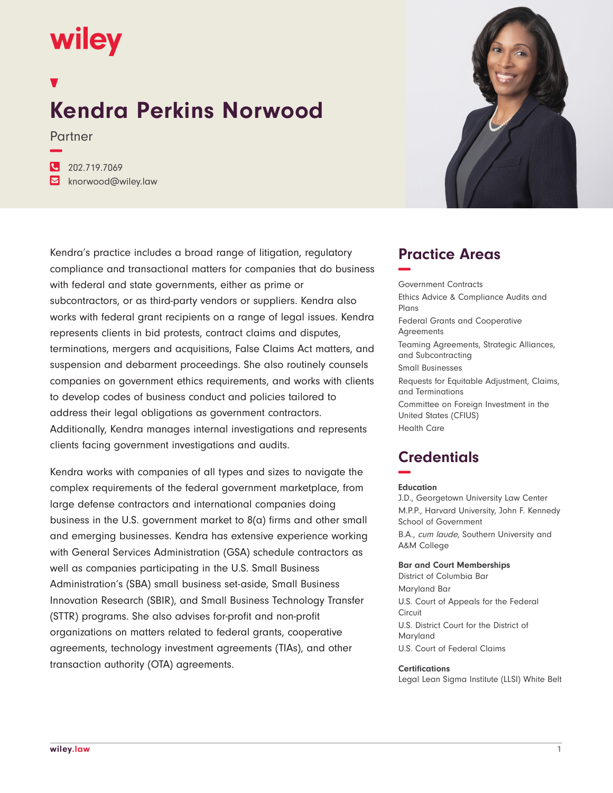# wiley

**−**

## **Kendra Perkins Norwood**

Partner

**�** 202.719.7069 **�** knorwood@wiley.law



## Kendra's practice includes a broad range of litigation, regulatory compliance and transactional matters for companies that do business with federal and state governments, either as prime or subcontractors, or as third-party vendors or suppliers. Kendra also works with federal grant recipients on a range of legal issues. Kendra represents clients in bid protests, contract claims and disputes, terminations, mergers and acquisitions, False Claims Act matters, and suspension and debarment proceedings. She also routinely counsels companies on government ethics requirements, and works with clients to develop codes of business conduct and policies tailored to address their legal obligations as government contractors. Additionally, Kendra manages internal investigations and represents clients facing government investigations and audits.

Kendra works with companies of all types and sizes to navigate the complex requirements of the federal government marketplace, from large defense contractors and international companies doing business in the U.S. government market to 8(a) firms and other small and emerging businesses. Kendra has extensive experience working with General Services Administration (GSA) schedule contractors as well as companies participating in the U.S. Small Business Administration's (SBA) small business set-aside, Small Business Innovation Research (SBIR), and Small Business Technology Transfer (STTR) programs. She also advises for-profit and non-profit organizations on matters related to federal grants, cooperative agreements, technology investment agreements (TIAs), and other transaction authority (OTA) agreements.

## **Practice Areas −**

Government Contracts Ethics Advice & Compliance Audits and Plans Federal Grants and Cooperative Agreements Teaming Agreements, Strategic Alliances, and Subcontracting Small Businesses Requests for Equitable Adjustment, Claims, and Terminations Committee on Foreign Investment in the United States (CFIUS) Health Care

## **Credentials −**

#### **Education**

J.D., Georgetown University Law Center M.P.P., Harvard University, John F. Kennedy School of Government B.A., cum laude, Southern University and A&M College

#### **Bar and Court Memberships**

District of Columbia Bar Maryland Bar U.S. Court of Appeals for the Federal Circuit U.S. District Court for the District of Maryland U.S. Court of Federal Claims

#### **Certifications**

Legal Lean Sigma Institute (LLSI) White Belt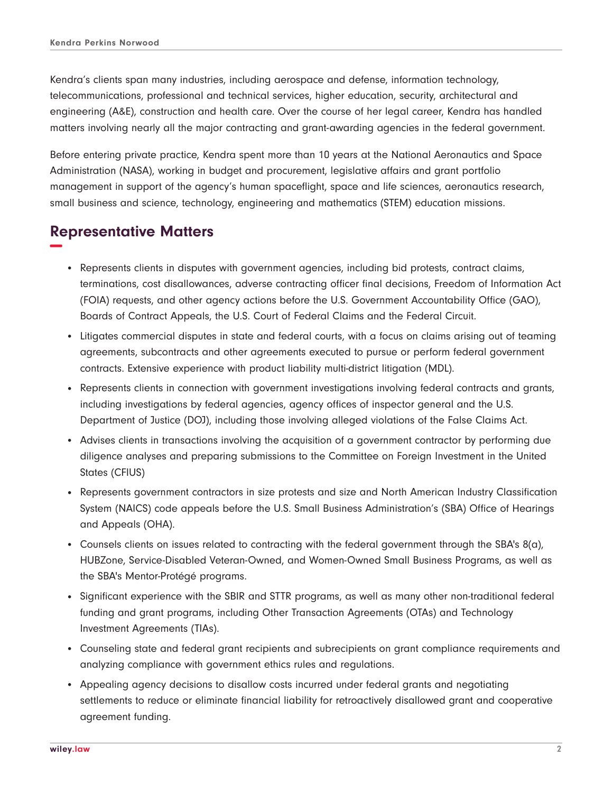Kendra's clients span many industries, including aerospace and defense, information technology, telecommunications, professional and technical services, higher education, security, architectural and engineering (A&E), construction and health care. Over the course of her legal career, Kendra has handled matters involving nearly all the major contracting and grant-awarding agencies in the federal government.

Before entering private practice, Kendra spent more than 10 years at the National Aeronautics and Space Administration (NASA), working in budget and procurement, legislative affairs and grant portfolio management in support of the agency's human spaceflight, space and life sciences, aeronautics research, small business and science, technology, engineering and mathematics (STEM) education missions.

## **Representative Matters −**

- Represents clients in disputes with government agencies, including bid protests, contract claims, terminations, cost disallowances, adverse contracting officer final decisions, Freedom of Information Act (FOIA) requests, and other agency actions before the U.S. Government Accountability Office (GAO), Boards of Contract Appeals, the U.S. Court of Federal Claims and the Federal Circuit.
- Litigates commercial disputes in state and federal courts, with a focus on claims arising out of teaming agreements, subcontracts and other agreements executed to pursue or perform federal government contracts. Extensive experience with product liability multi-district litigation (MDL).
- Represents clients in connection with government investigations involving federal contracts and grants, including investigations by federal agencies, agency offices of inspector general and the U.S. Department of Justice (DOJ), including those involving alleged violations of the False Claims Act.
- Advises clients in transactions involving the acquisition of a government contractor by performing due diligence analyses and preparing submissions to the Committee on Foreign Investment in the United States (CFIUS)
- Represents government contractors in size protests and size and North American Industry Classification System (NAICS) code appeals before the U.S. Small Business Administration's (SBA) Office of Hearings and Appeals (OHA).
- Counsels clients on issues related to contracting with the federal government through the SBA's 8(a), HUBZone, Service-Disabled Veteran-Owned, and Women-Owned Small Business Programs, as well as the SBA's Mentor-Protégé programs.
- Significant experience with the SBIR and STTR programs, as well as many other non-traditional federal funding and grant programs, including Other Transaction Agreements (OTAs) and Technology Investment Agreements (TIAs).
- Counseling state and federal grant recipients and subrecipients on grant compliance requirements and analyzing compliance with government ethics rules and regulations.
- Appealing agency decisions to disallow costs incurred under federal grants and negotiating settlements to reduce or eliminate financial liability for retroactively disallowed grant and cooperative agreement funding.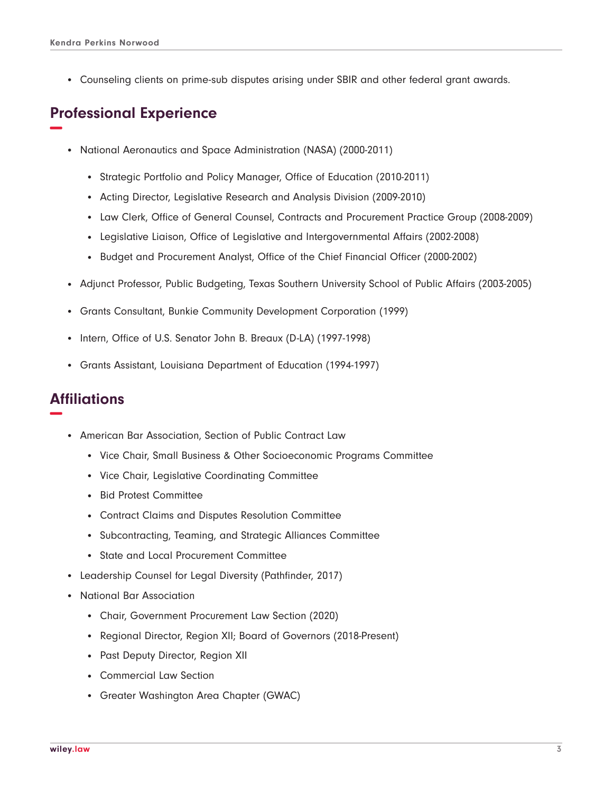● Counseling clients on prime-sub disputes arising under SBIR and other federal grant awards.

## **Professional Experience −**

- National Aeronautics and Space Administration (NASA) (2000-2011)
	- Strategic Portfolio and Policy Manager, Office of Education (2010-2011)
	- Acting Director, Legislative Research and Analysis Division (2009-2010)
	- Law Clerk, Office of General Counsel, Contracts and Procurement Practice Group (2008-2009)
	- Legislative Liaison, Office of Legislative and Intergovernmental Affairs (2002-2008)
	- Budget and Procurement Analyst, Office of the Chief Financial Officer (2000-2002)
- Adjunct Professor, Public Budgeting, Texas Southern University School of Public Affairs (2003-2005)
- Grants Consultant, Bunkie Community Development Corporation (1999)
- Intern, Office of U.S. Senator John B. Breaux (D-LA) (1997-1998)
- Grants Assistant, Louisiana Department of Education (1994-1997)

### **Affiliations −**

- American Bar Association, Section of Public Contract Law
	- Vice Chair, Small Business & Other Socioeconomic Programs Committee
	- Vice Chair, Legislative Coordinating Committee
	- Bid Protest Committee
	- Contract Claims and Disputes Resolution Committee
	- Subcontracting, Teaming, and Strategic Alliances Committee
	- State and Local Procurement Committee
- Leadership Counsel for Legal Diversity (Pathfinder, 2017)
- National Bar Association
	- Chair, Government Procurement Law Section (2020)
	- Regional Director, Region XII; Board of Governors (2018-Present)
	- Past Deputy Director, Region XII
	- Commercial Law Section
	- Greater Washington Area Chapter (GWAC)